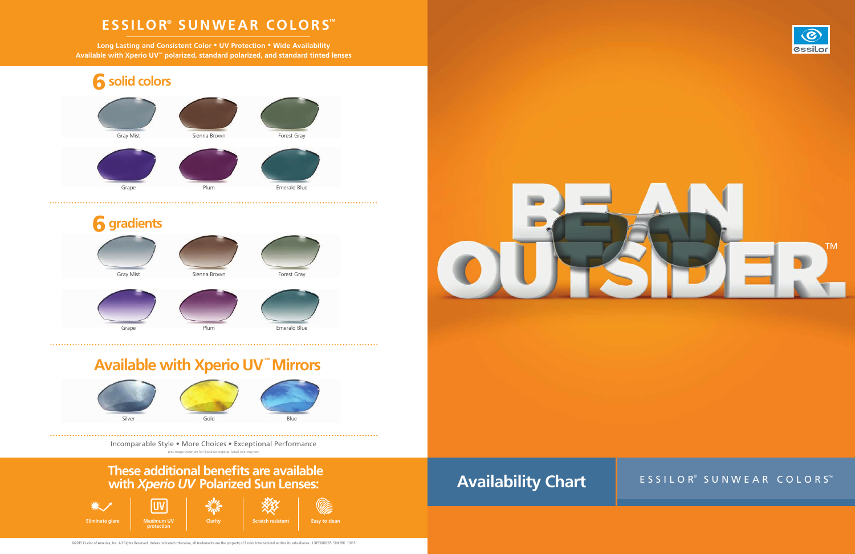



# **Available with Xperio UV™ Mirrors**











©2015 Essilor of America, Inc. All Rights Reserved. Unless indicated otherwise, all trademarks are the property of Essilor International and/or its subsidiaries. LXPE000285 SHK/BK 10/15



## ESSILOR® SUNWEAR COLORS™

Incomparable Style • More Choices • Exceptional Performance Lens images shown are for illustrative purposes. Actual color may vary.

## **ESSILOR® SUNWEAR COLORS™**

**Long Lasting and Consistent Color • UV Protection • Wide Availability Available with Xperio UV**™ **polarized, standard polarized, and standard tinted lenses**

## **These additional benefits are available with** *Xperio UV* **Polarized Sun Lenses:**



# **Availability Chart**